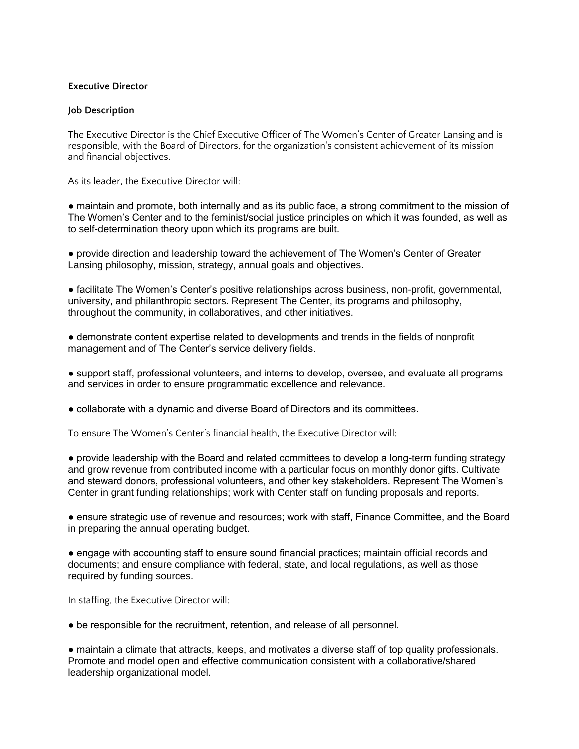## **Executive Director**

## **Job Description**

The Executive Director is the Chief Executive Officer of The Women's Center of Greater Lansing and is responsible, with the Board of Directors, for the organization's consistent achievement of its mission and financial objectives.

As its leader, the Executive Director will:

● maintain and promote, both internally and as its public face, a strong commitment to the mission of The Women's Center and to the feminist/social justice principles on which it was founded, as well as to self-determination theory upon which its programs are built.

● provide direction and leadership toward the achievement of The Women's Center of Greater Lansing philosophy, mission, strategy, annual goals and objectives.

● facilitate The Women's Center's positive relationships across business, non-profit, governmental, university, and philanthropic sectors. Represent The Center, its programs and philosophy, throughout the community, in collaboratives, and other initiatives.

● demonstrate content expertise related to developments and trends in the fields of nonprofit management and of The Center's service delivery fields.

● support staff, professional volunteers, and interns to develop, oversee, and evaluate all programs and services in order to ensure programmatic excellence and relevance.

● collaborate with a dynamic and diverse Board of Directors and its committees.

To ensure The Women's Center's financial health, the Executive Director will:

● provide leadership with the Board and related committees to develop a long-term funding strategy and grow revenue from contributed income with a particular focus on monthly donor gifts. Cultivate and steward donors, professional volunteers, and other key stakeholders. Represent The Women's Center in grant funding relationships; work with Center staff on funding proposals and reports.

● ensure strategic use of revenue and resources; work with staff, Finance Committee, and the Board in preparing the annual operating budget.

● engage with accounting staff to ensure sound financial practices; maintain official records and documents; and ensure compliance with federal, state, and local regulations, as well as those required by funding sources.

In staffing, the Executive Director will:

● be responsible for the recruitment, retention, and release of all personnel.

● maintain a climate that attracts, keeps, and motivates a diverse staff of top quality professionals. Promote and model open and effective communication consistent with a collaborative/shared leadership organizational model.